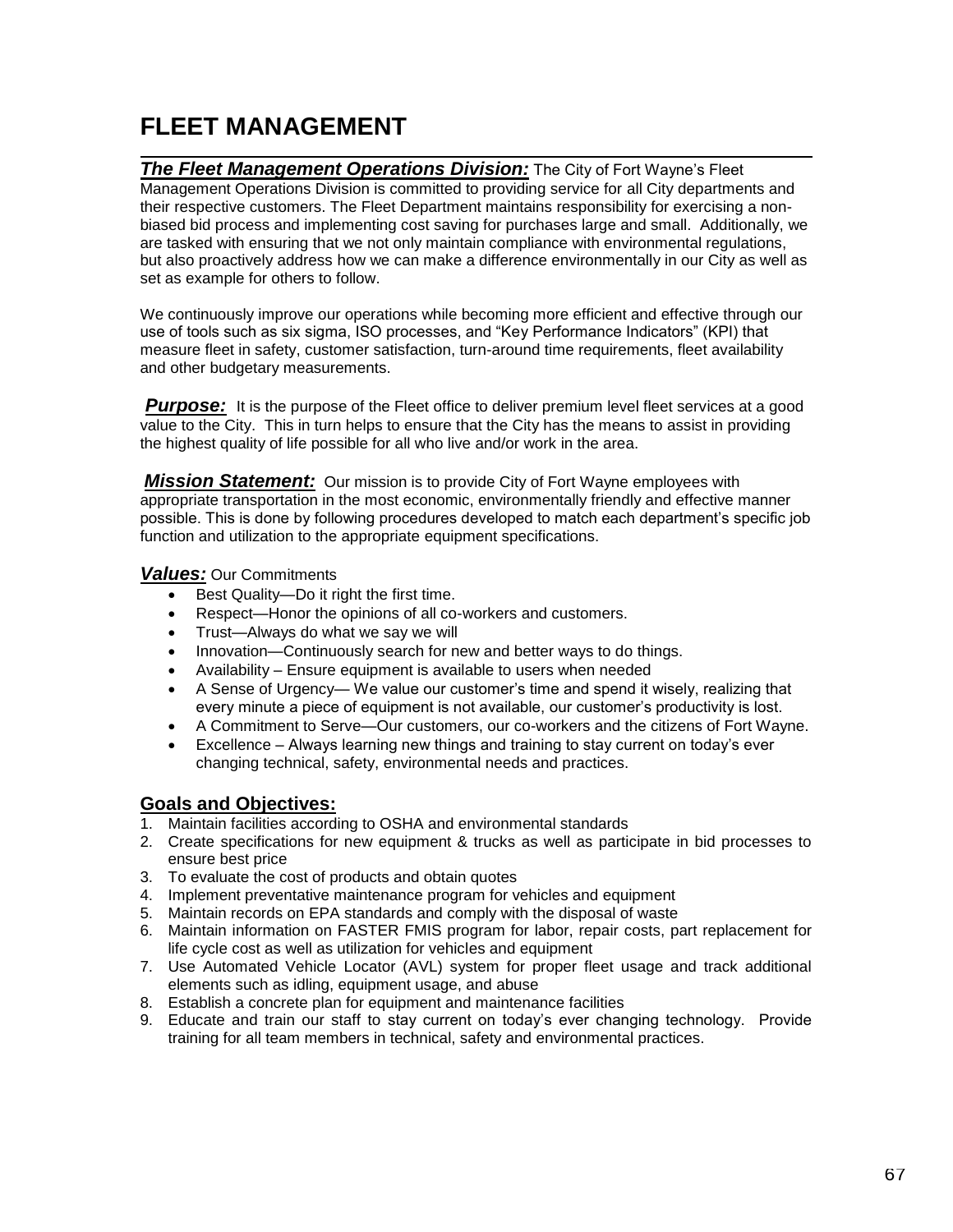## **FLEET MANAGEMENT**

**The Fleet Management Operations Division:** The City of Fort Wayne's Fleet Management Operations Division is committed to providing service for all City departments and their respective customers. The Fleet Department maintains responsibility for exercising a nonbiased bid process and implementing cost saving for purchases large and small. Additionally, we are tasked with ensuring that we not only maintain compliance with environmental regulations, but also proactively address how we can make a difference environmentally in our City as well as set as example for others to follow.

We continuously improve our operations while becoming more efficient and effective through our use of tools such as six sigma, ISO processes, and "Key Performance Indicators" (KPI) that measure fleet in safety, customer satisfaction, turn-around time requirements, fleet availability and other budgetary measurements.

**Purpose:** It is the purpose of the Fleet office to deliver premium level fleet services at a good value to the City. This in turn helps to ensure that the City has the means to assist in providing the highest quality of life possible for all who live and/or work in the area.

*Mission Statement:* Our mission is to provide City of Fort Wayne employees with appropriate transportation in the most economic, environmentally friendly and effective manner possible. This is done by following procedures developed to match each department's specific job function and utilization to the appropriate equipment specifications.

*Values:* Our Commitments

- Best Quality—Do it right the first time.
- Respect—Honor the opinions of all co-workers and customers.
- Trust-Always do what we say we will
- Innovation—Continuously search for new and better ways to do things.
- Availability Ensure equipment is available to users when needed
- A Sense of Urgency— We value our customer's time and spend it wisely, realizing that every minute a piece of equipment is not available, our customer's productivity is lost.
- A Commitment to Serve—Our customers, our co-workers and the citizens of Fort Wayne.
- Excellence Always learning new things and training to stay current on today's ever changing technical, safety, environmental needs and practices.

## **Goals and Objectives:**

- 1. Maintain facilities according to OSHA and environmental standards
- 2. Create specifications for new equipment & trucks as well as participate in bid processes to ensure best price
- 3. To evaluate the cost of products and obtain quotes
- 4. Implement preventative maintenance program for vehicles and equipment
- 5. Maintain records on EPA standards and comply with the disposal of waste
- 6. Maintain information on FASTER FMIS program for labor, repair costs, part replacement for life cycle cost as well as utilization for vehicles and equipment
- 7. Use Automated Vehicle Locator (AVL) system for proper fleet usage and track additional elements such as idling, equipment usage, and abuse
- 8. Establish a concrete plan for equipment and maintenance facilities
- 9. Educate and train our staff to stay current on today's ever changing technology. Provide training for all team members in technical, safety and environmental practices.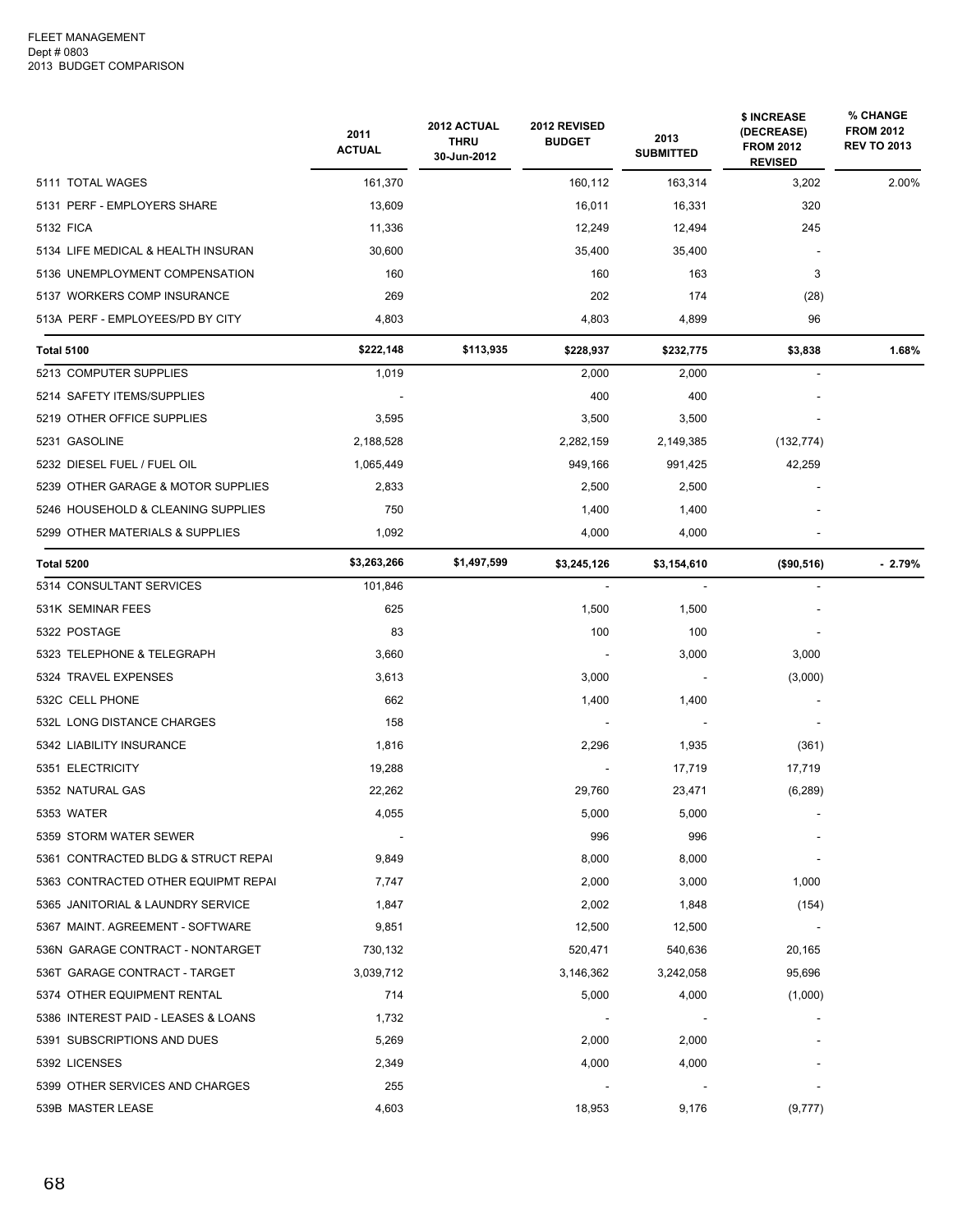|                                     | 2011<br><b>ACTUAL</b> | 2012 ACTUAL<br><b>THRU</b><br>30-Jun-2012 | 2012 REVISED<br><b>BUDGET</b> | 2013<br><b>SUBMITTED</b> | \$ INCREASE<br>(DECREASE)<br><b>FROM 2012</b><br><b>REVISED</b> | % CHANGE<br><b>FROM 2012</b><br><b>REV TO 2013</b> |
|-------------------------------------|-----------------------|-------------------------------------------|-------------------------------|--------------------------|-----------------------------------------------------------------|----------------------------------------------------|
| 5111 TOTAL WAGES                    | 161,370               |                                           | 160,112                       | 163,314                  | 3,202                                                           | 2.00%                                              |
| 5131 PERF - EMPLOYERS SHARE         | 13,609                |                                           | 16,011                        | 16,331                   | 320                                                             |                                                    |
| 5132 FICA                           | 11,336                |                                           | 12,249                        | 12,494                   | 245                                                             |                                                    |
| 5134 LIFE MEDICAL & HEALTH INSURAN  | 30,600                |                                           | 35,400                        | 35,400                   |                                                                 |                                                    |
| 5136 UNEMPLOYMENT COMPENSATION      | 160                   |                                           | 160                           | 163                      | 3                                                               |                                                    |
| 5137 WORKERS COMP INSURANCE         | 269                   |                                           | 202                           | 174                      | (28)                                                            |                                                    |
| 513A PERF - EMPLOYEES/PD BY CITY    | 4,803                 |                                           | 4,803                         | 4,899                    | 96                                                              |                                                    |
| <b>Total 5100</b>                   | \$222,148             | \$113,935                                 | \$228,937                     | \$232,775                | \$3,838                                                         | 1.68%                                              |
| 5213 COMPUTER SUPPLIES              | 1,019                 |                                           | 2,000                         | 2,000                    |                                                                 |                                                    |
| 5214 SAFETY ITEMS/SUPPLIES          |                       |                                           | 400                           | 400                      |                                                                 |                                                    |
| 5219 OTHER OFFICE SUPPLIES          | 3,595                 |                                           | 3,500                         | 3,500                    |                                                                 |                                                    |
| 5231 GASOLINE                       | 2,188,528             |                                           | 2,282,159                     | 2,149,385                | (132, 774)                                                      |                                                    |
| 5232 DIESEL FUEL / FUEL OIL         | 1,065,449             |                                           | 949,166                       | 991,425                  | 42,259                                                          |                                                    |
| 5239 OTHER GARAGE & MOTOR SUPPLIES  | 2,833                 |                                           | 2,500                         | 2,500                    |                                                                 |                                                    |
| 5246 HOUSEHOLD & CLEANING SUPPLIES  | 750                   |                                           | 1,400                         | 1,400                    |                                                                 |                                                    |
| 5299 OTHER MATERIALS & SUPPLIES     | 1,092                 |                                           | 4,000                         | 4,000                    |                                                                 |                                                    |
| <b>Total 5200</b>                   | \$3,263,266           | \$1,497,599                               | \$3,245,126                   | \$3,154,610              | (\$90,516)                                                      | $-2.79%$                                           |
| 5314 CONSULTANT SERVICES            | 101,846               |                                           |                               |                          |                                                                 |                                                    |
| 531K SEMINAR FEES                   | 625                   |                                           | 1,500                         | 1,500                    |                                                                 |                                                    |
| 5322 POSTAGE                        | 83                    |                                           | 100                           | 100                      |                                                                 |                                                    |
| 5323 TELEPHONE & TELEGRAPH          | 3,660                 |                                           |                               | 3,000                    | 3,000                                                           |                                                    |
| 5324 TRAVEL EXPENSES                | 3,613                 |                                           | 3,000                         |                          | (3,000)                                                         |                                                    |
| 532C CELL PHONE                     | 662                   |                                           | 1,400                         | 1,400                    |                                                                 |                                                    |
| 532L LONG DISTANCE CHARGES          | 158                   |                                           |                               |                          |                                                                 |                                                    |
| 5342 LIABILITY INSURANCE            | 1,816                 |                                           | 2,296                         | 1,935                    | (361)                                                           |                                                    |
| 5351 ELECTRICITY                    | 19,288                |                                           |                               | 17,719                   | 17,719                                                          |                                                    |
| 5352 NATURAL GAS                    | 22,262                |                                           | 29,760                        | 23,471                   | (6, 289)                                                        |                                                    |
| 5353 WATER                          | 4,055                 |                                           | 5,000                         | 5,000                    |                                                                 |                                                    |
| 5359 STORM WATER SEWER              |                       |                                           | 996                           | 996                      |                                                                 |                                                    |
| 5361 CONTRACTED BLDG & STRUCT REPAI | 9,849                 |                                           | 8,000                         | 8,000                    |                                                                 |                                                    |
| 5363 CONTRACTED OTHER EQUIPMT REPAI | 7,747                 |                                           | 2,000                         | 3,000                    | 1,000                                                           |                                                    |
| 5365 JANITORIAL & LAUNDRY SERVICE   | 1,847                 |                                           | 2,002                         | 1,848                    | (154)                                                           |                                                    |
| 5367 MAINT. AGREEMENT - SOFTWARE    | 9,851                 |                                           | 12,500                        | 12,500                   |                                                                 |                                                    |
| 536N GARAGE CONTRACT - NONTARGET    | 730,132               |                                           | 520,471                       | 540,636                  | 20,165                                                          |                                                    |
| 536T GARAGE CONTRACT - TARGET       | 3,039,712             |                                           | 3,146,362                     | 3,242,058                | 95,696                                                          |                                                    |
| 5374 OTHER EQUIPMENT RENTAL         | 714                   |                                           | 5,000                         | 4,000                    | (1,000)                                                         |                                                    |
| 5386 INTEREST PAID - LEASES & LOANS | 1,732                 |                                           |                               |                          |                                                                 |                                                    |
| 5391 SUBSCRIPTIONS AND DUES         | 5,269                 |                                           | 2,000                         | 2,000                    |                                                                 |                                                    |
| 5392 LICENSES                       | 2,349                 |                                           | 4,000                         | 4,000                    |                                                                 |                                                    |
| 5399 OTHER SERVICES AND CHARGES     | 255                   |                                           |                               |                          |                                                                 |                                                    |
| 539B MASTER LEASE                   | 4,603                 |                                           | 18,953                        | 9,176                    | (9,777)                                                         |                                                    |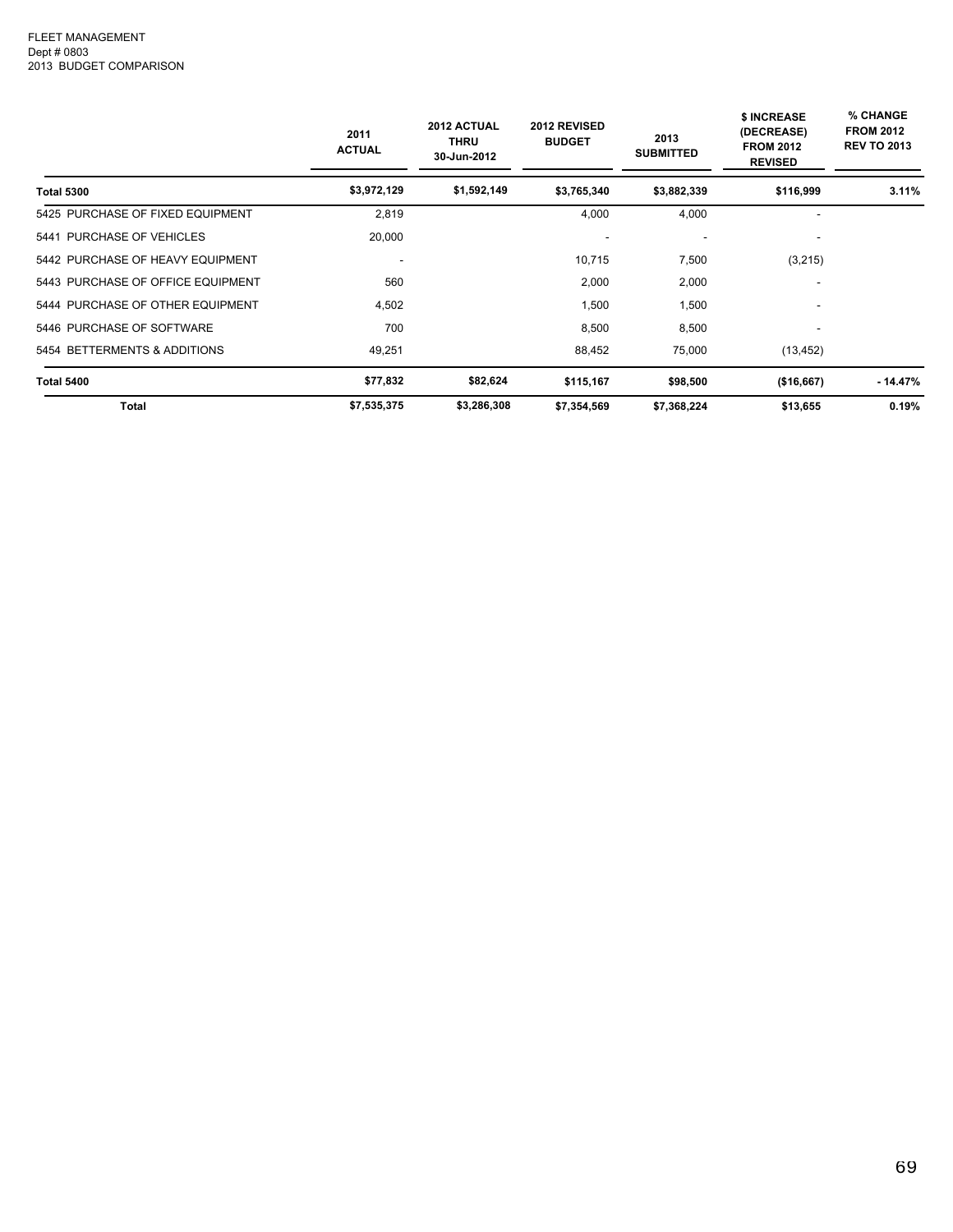|                                   | 2011<br><b>ACTUAL</b> | 2012 ACTUAL<br><b>THRU</b><br>30-Jun-2012 | 2012 REVISED<br><b>BUDGET</b> | 2013<br><b>SUBMITTED</b> | <b>\$ INCREASE</b><br>(DECREASE)<br><b>FROM 2012</b><br><b>REVISED</b> | % CHANGE<br><b>FROM 2012</b><br><b>REV TO 2013</b> |
|-----------------------------------|-----------------------|-------------------------------------------|-------------------------------|--------------------------|------------------------------------------------------------------------|----------------------------------------------------|
| <b>Total 5300</b>                 | \$3,972,129           | \$1,592,149                               | \$3,765,340                   | \$3,882,339              | \$116,999                                                              | 3.11%                                              |
| 5425 PURCHASE OF FIXED EQUIPMENT  | 2,819                 |                                           | 4,000                         | 4,000                    | ۰                                                                      |                                                    |
| 5441 PURCHASE OF VEHICLES         | 20,000                |                                           |                               | $\overline{\phantom{a}}$ |                                                                        |                                                    |
| 5442 PURCHASE OF HEAVY EQUIPMENT  |                       |                                           | 10,715                        | 7,500                    | (3,215)                                                                |                                                    |
| 5443 PURCHASE OF OFFICE EQUIPMENT | 560                   |                                           | 2,000                         | 2,000                    |                                                                        |                                                    |
| 5444 PURCHASE OF OTHER EQUIPMENT  | 4,502                 |                                           | 1,500                         | 1,500                    | ۰                                                                      |                                                    |
| 5446 PURCHASE OF SOFTWARE         | 700                   |                                           | 8,500                         | 8,500                    |                                                                        |                                                    |
| 5454 BETTERMENTS & ADDITIONS      | 49,251                |                                           | 88,452                        | 75,000                   | (13, 452)                                                              |                                                    |
| <b>Total 5400</b>                 | \$77,832              | \$82,624                                  | \$115,167                     | \$98,500                 | (\$16,667)                                                             | - 14.47%                                           |
| Total                             | \$7,535,375           | \$3,286,308                               | \$7,354,569                   | \$7,368,224              | \$13,655                                                               | 0.19%                                              |